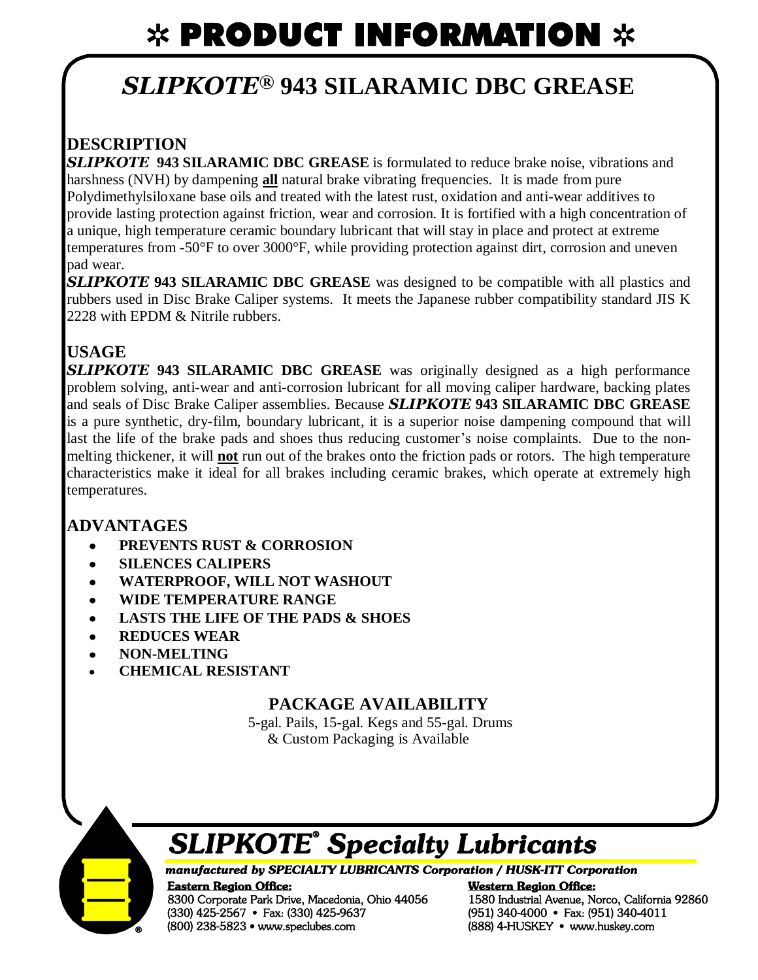# $*$  PRODUCT INFORMATION  $*$

# *SLIPKOTE®* **943 SILARAMIC DBC GREASE**

## **DESCRIPTION**

*SLIPKOTE* **943 SILARAMIC DBC GREASE** is formulated to reduce brake noise, vibrations and harshness (NVH) by dampening **all** natural brake vibrating frequencies. It is made from pure Polydimethylsiloxane base oils and treated with the latest rust, oxidation and anti-wear additives to provide lasting protection against friction, wear and corrosion. It is fortified with a high concentration of a unique, high temperature ceramic boundary lubricant that will stay in place and protect at extreme temperatures from -50°F to over 3000°F, while providing protection against dirt, corrosion and uneven pad wear.

*SLIPKOTE* **943 SILARAMIC DBC GREASE** was designed to be compatible with all plastics and rubbers used in Disc Brake Caliper systems. It meets the Japanese rubber compatibility standard JIS K 2228 with EPDM & Nitrile rubbers.

## **USAGE**

*SLIPKOTE* **943 SILARAMIC DBC GREASE** was originally designed as a high performance problem solving, anti-wear and anti-corrosion lubricant for all moving caliper hardware, backing plates and seals of Disc Brake Caliper assemblies. Because *SLIPKOTE* **943 SILARAMIC DBC GREASE** is a pure synthetic, dry-film, boundary lubricant, it is a superior noise dampening compound that will last the life of the brake pads and shoes thus reducing customer's noise complaints. Due to the nonmelting thickener, it will **not** run out of the brakes onto the friction pads or rotors. The high temperature characteristics make it ideal for all brakes including ceramic brakes, which operate at extremely high temperatures.

## **ADVANTAGES**

- **PREVENTS RUST & CORROSION**   $\bullet$
- **SILENCES CALIPERS**   $\bullet$
- **WATERPROOF, WILL NOT WASHOUT**   $\bullet$
- **WIDE TEMPERATURE RANGE**  $\bullet$
- **LASTS THE LIFE OF THE PADS & SHOES**   $\bullet$
- **REDUCES WEAR**  $\bullet$
- **NON-MELTING**  $\bullet$
- **CHEMICAL RESISTANT**

### **PACKAGE AVAILABILITY**

5-gal. Pails, 15-gal. Kegs and 55-gal. Drums & Custom Packaging is Available



# **SLIPKOTE<sup>®</sup>** Specialty Lubricants

#### manufactured by SPECIALTY LUBRICANTS Corporation / HUSK-ITT Corporation

**Eastern Region Office:** 8300 Corporate Park Drive, Macedonia, Ohio 44056 (330) 425-2567 • Fax: (330) 425-9637 (800) 238-5823 • www.speclubes.com

**Western Region Office:** 1580 Industrial Avenue, Norco, California 92860 (951) 340-4000 • Fax: (951) 340-4011 (888) 4-HUSKEY · www.huskey.com